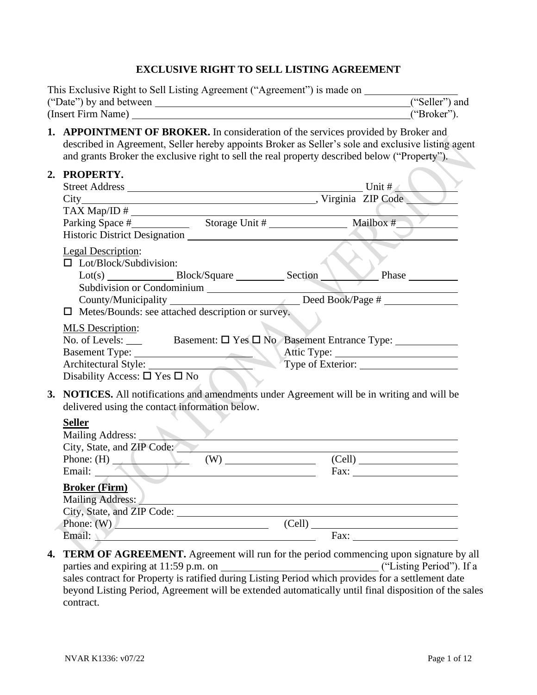#### **EXCLUSIVE RIGHT TO SELL LISTING AGREEMENT**

| This Exclusive Right to Sell Listing Agreement ("Agreement") is made on |                |
|-------------------------------------------------------------------------|----------------|
| ("Date") by and between                                                 | ("Seller") and |
| (Insert Firm Name)                                                      | ("Broker").    |

**1. APPOINTMENT OF BROKER.** In consideration of the services provided by Broker and described in Agreement, Seller hereby appoints Broker as Seller's sole and exclusive listing agent and grants Broker the exclusive right to sell the real property described below ("Property").

| 2. PROPERTY.                                                                                                                                        |        |
|-----------------------------------------------------------------------------------------------------------------------------------------------------|--------|
| Maria El Code                                                                                                                                       |        |
|                                                                                                                                                     |        |
|                                                                                                                                                     |        |
|                                                                                                                                                     |        |
| Legal Description:<br>$\Box$ Lot/Block/Subdivision:<br>Subdivision or Condominium                                                                   | Phase  |
| County/Municipality _______________________________Deed Book/Page #                                                                                 |        |
| $\Box$ Metes/Bounds: see attached description or survey.                                                                                            |        |
| <b>MLS</b> Description:<br>Basement Type: Architectural Style: Type of Exterior: Type of Exterior:<br>Disability Access: $\square$ Yes $\square$ No |        |
| 3. NOTICES. All notifications and amendments under Agreement will be in writing and will be<br>delivered using the contact information below.       |        |
| <b>Seller</b><br>Mailing Address:<br>City, State, and ZIP Code:                                                                                     |        |
| Phone: $(H)$ (W) (Cell)                                                                                                                             |        |
| Email:<br><u> 1989 - Johann Barnett, fransk politik (d. 1989)</u>                                                                                   | Fax:   |
| <b>Broker (Firm)</b><br>Mailing Address:                                                                                                            |        |
| Phone: $(W)$                                                                                                                                        | (Cell) |
| Email: $\sqrt{ }$                                                                                                                                   |        |
|                                                                                                                                                     |        |

**4. TERM OF AGREEMENT.** Agreement will run for the period commencing upon signature by all parties and expiring at 11:59 p.m. on ("Listing Period"). If a parties and expiring at  $11:59$  p.m. on sales contract for Property is ratified during Listing Period which provides for a settlement date beyond Listing Period, Agreement will be extended automatically until final disposition of the sales contract.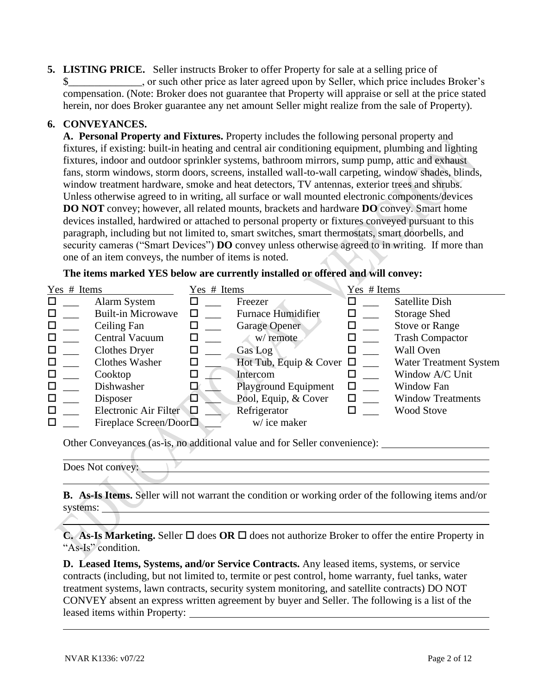**5. LISTING PRICE.** Seller instructs Broker to offer Property for sale at a selling price of \$\_\_\_\_\_\_\_\_\_\_\_\_\_\_, or such other price as later agreed upon by Seller, which price includes Broker's compensation. (Note: Broker does not guarantee that Property will appraise or sell at the price stated herein, nor does Broker guarantee any net amount Seller might realize from the sale of Property).

#### **6. CONVEYANCES.**

**A. Personal Property and Fixtures.** Property includes the following personal property and fixtures, if existing: built-in heating and central air conditioning equipment, plumbing and lighting fixtures, indoor and outdoor sprinkler systems, bathroom mirrors, sump pump, attic and exhaust fans, storm windows, storm doors, screens, installed wall-to-wall carpeting, window shades, blinds, window treatment hardware, smoke and heat detectors, TV antennas, exterior trees and shrubs. Unless otherwise agreed to in writing, all surface or wall mounted electronic components/devices **DO NOT** convey; however, all related mounts, brackets and hardware **DO** convey. Smart home devices installed, hardwired or attached to personal property or fixtures conveyed pursuant to this paragraph, including but not limited to, smart switches, smart thermostats, smart doorbells, and security cameras ("Smart Devices") **DO** convey unless otherwise agreed to in writing. If more than one of an item conveys, the number of items is noted.

**The items marked YES below are currently installed or offered and will convey:**

| Yes # Items |                           | Yes # Items |                               | Yes # Items |                               |
|-------------|---------------------------|-------------|-------------------------------|-------------|-------------------------------|
| □           | Alarm System              |             | Freezer                       |             | Satellite Dish                |
| □           | <b>Built-in Microwave</b> |             | <b>Furnace Humidifier</b>     | $\Box$      | <b>Storage Shed</b>           |
|             | Ceiling Fan               |             | <b>Garage Opener</b>          |             | <b>Stove or Range</b>         |
| □           | Central Vacuum            |             | w/ remote                     |             | <b>Trash Compactor</b>        |
| □           | <b>Clothes Dryer</b>      |             | Gas Log                       |             | <b>Wall Oven</b>              |
|             | <b>Clothes Washer</b>     |             | Hot Tub, Equip & Cover $\Box$ |             | <b>Water Treatment System</b> |
|             | Cooktop                   |             | Intercom                      |             | Window A/C Unit               |
|             | Dishwasher                |             | <b>Playground Equipment</b>   |             | Window Fan                    |
| □           | Disposer                  |             | Pool, Equip, & Cover          |             | <b>Window Treatments</b>      |
| □           | Electronic Air Filter     | 切           | Refrigerator                  |             | <b>Wood Stove</b>             |
| П           | Fireplace Screen/Door□    |             | w/ice maker                   |             |                               |

Other Conveyances (as-is, no additional value and for Seller convenience):

**B. As-Is Items.** Seller will not warrant the condition or working order of the following items and/or systems:

**C. As-Is Marketing.** Seller  $\Box$  does **OR**  $\Box$  does not authorize Broker to offer the entire Property in "As-Is" condition.

**D. Leased Items, Systems, and/or Service Contracts.** Any leased items, systems, or service contracts (including, but not limited to, termite or pest control, home warranty, fuel tanks, water treatment systems, lawn contracts, security system monitoring, and satellite contracts) DO NOT CONVEY absent an express written agreement by buyer and Seller. The following is a list of the leased items within Property:

Does Not convey: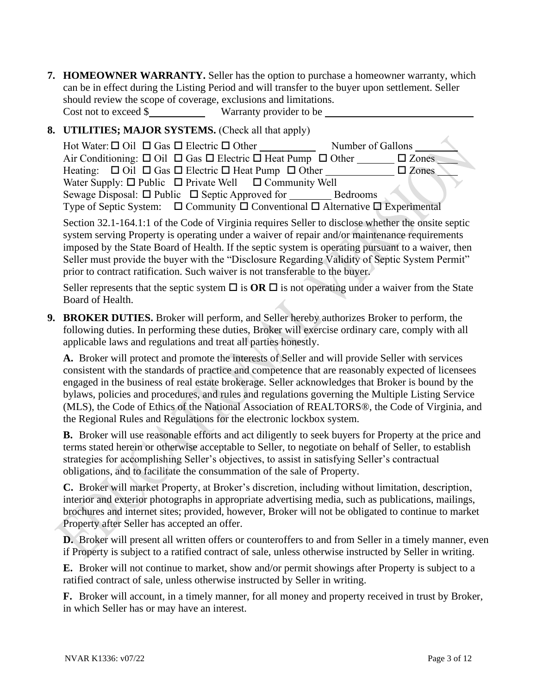**7. HOMEOWNER WARRANTY.** Seller has the option to purchase a homeowner warranty, which can be in effect during the Listing Period and will transfer to the buyer upon settlement. Seller should review the scope of coverage, exclusions and limitations. Cost not to exceed \$ Warranty provider to be

### **8. UTILITIES; MAJOR SYSTEMS.** (Check all that apply)

| Hot Water: $\Box$ Oil $\Box$ Gas $\Box$ Electric $\Box$ Other                                      | Number of Gallons |
|----------------------------------------------------------------------------------------------------|-------------------|
| Air Conditioning: $\Box$ Oil $\Box$ Gas $\Box$ Electric $\Box$ Heat Pump $\Box$ Other              | $\square$ Zones   |
| Heating: $\Box$ Oil $\Box$ Gas $\Box$ Electric $\Box$ Heat Pump $\Box$ Other                       | $\square$ Zones   |
| Water Supply: $\Box$ Public $\Box$ Private Well $\Box$ Community Well                              |                   |
|                                                                                                    | <b>Bedrooms</b>   |
| Type of Septic System: $\Box$ Community $\Box$ Conventional $\Box$ Alternative $\Box$ Experimental |                   |

Section 32.1-164.1:1 of the Code of Virginia requires Seller to disclose whether the onsite septic system serving Property is operating under a waiver of repair and/or maintenance requirements imposed by the State Board of Health. If the septic system is operating pursuant to a waiver, then Seller must provide the buyer with the "Disclosure Regarding Validity of Septic System Permit" prior to contract ratification. Such waiver is not transferable to the buyer.

Seller represents that the septic system  $\Box$  is **OR**  $\Box$  is not operating under a waiver from the State Board of Health.

**9. BROKER DUTIES.** Broker will perform, and Seller hereby authorizes Broker to perform, the following duties. In performing these duties, Broker will exercise ordinary care, comply with all applicable laws and regulations and treat all parties honestly.

**A.** Broker will protect and promote the interests of Seller and will provide Seller with services consistent with the standards of practice and competence that are reasonably expected of licensees engaged in the business of real estate brokerage. Seller acknowledges that Broker is bound by the bylaws, policies and procedures, and rules and regulations governing the Multiple Listing Service (MLS), the Code of Ethics of the National Association of REALTORS®, the Code of Virginia, and the Regional Rules and Regulations for the electronic lockbox system.

**B.** Broker will use reasonable efforts and act diligently to seek buyers for Property at the price and terms stated herein or otherwise acceptable to Seller, to negotiate on behalf of Seller, to establish strategies for accomplishing Seller's objectives, to assist in satisfying Seller's contractual obligations, and to facilitate the consummation of the sale of Property.

**C.** Broker will market Property, at Broker's discretion, including without limitation, description, interior and exterior photographs in appropriate advertising media, such as publications, mailings, brochures and internet sites; provided, however, Broker will not be obligated to continue to market Property after Seller has accepted an offer.

**D.** Broker will present all written offers or counteroffers to and from Seller in a timely manner, even if Property is subject to a ratified contract of sale, unless otherwise instructed by Seller in writing.

**E.** Broker will not continue to market, show and/or permit showings after Property is subject to a ratified contract of sale, unless otherwise instructed by Seller in writing.

**F.** Broker will account, in a timely manner, for all money and property received in trust by Broker, in which Seller has or may have an interest.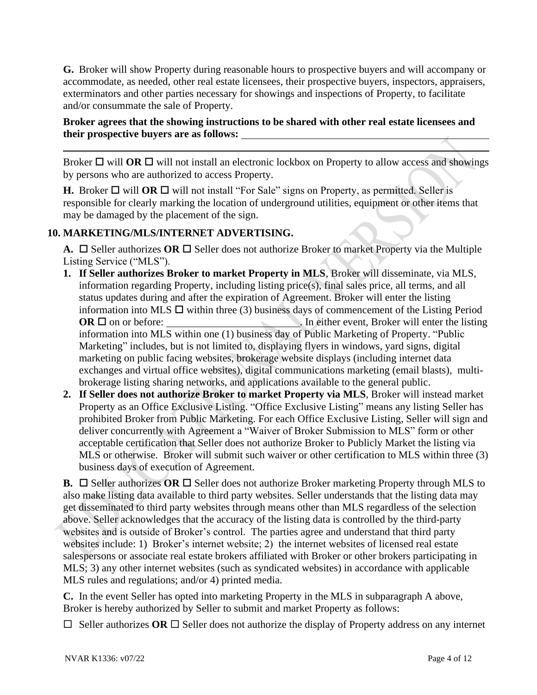**G.** Broker will show Property during reasonable hours to prospective buyers and will accompany or accommodate, as needed, other real estate licensees, their prospective buyers, inspectors, appraisers, exterminators and other parties necessary for showings and inspections of Property, to facilitate and/or consummate the sale of Property.

#### **Broker agrees that the showing instructions to be shared with other real estate licensees and their prospective buyers are as follows:**

Broker  $\Box$  will **OR**  $\Box$  will not install an electronic lockbox on Property to allow access and showings by persons who are authorized to access Property.

**H.** Broker  $\Box$  will **OR**  $\Box$  will not install "For Sale" signs on Property, as permitted. Seller is responsible for clearly marking the location of underground utilities, equipment or other items that may be damaged by the placement of the sign.

## **10. MARKETING/MLS/INTERNET ADVERTISING.**

**A.**  $\Box$  Seller authorizes OR  $\Box$  Seller does not authorize Broker to market Property via the Multiple Listing Service ("MLS").

- **1. If Seller authorizes Broker to market Property in MLS**, Broker will disseminate, via MLS, information regarding Property, including listing price(s), final sales price, all terms, and all status updates during and after the expiration of Agreement. Broker will enter the listing information into MLS  $\Box$  within three (3) business days of commencement of the Listing Period **OR**  on or before: . In either event, Broker will enter the listing information into MLS within one (1) business day of Public Marketing of Property. "Public Marketing" includes, but is not limited to, displaying flyers in windows, yard signs, digital marketing on public facing websites, brokerage website displays (including internet data exchanges and virtual office websites), digital communications marketing (email blasts), multibrokerage listing sharing networks, and applications available to the general public.
- **2. If Seller does not authorize Broker to market Property via MLS**, Broker will instead market Property as an Office Exclusive Listing. "Office Exclusive Listing" means any listing Seller has prohibited Broker from Public Marketing. For each Office Exclusive Listing, Seller will sign and deliver concurrently with Agreement a "Waiver of Broker Submission to MLS" form or other acceptable certification that Seller does not authorize Broker to Publicly Market the listing via MLS or otherwise. Broker will submit such waiver or other certification to MLS within three (3) business days of execution of Agreement.

**B.**  $\Box$  Seller authorizes OR  $\Box$  Seller does not authorize Broker marketing Property through MLS to also make listing data available to third party websites. Seller understands that the listing data may get disseminated to third party websites through means other than MLS regardless of the selection above. Seller acknowledges that the accuracy of the listing data is controlled by the third-party websites and is outside of Broker's control. The parties agree and understand that third party websites include: 1) Broker's internet website; 2) the internet websites of licensed real estate salespersons or associate real estate brokers affiliated with Broker or other brokers participating in MLS; 3) any other internet websites (such as syndicated websites) in accordance with applicable MLS rules and regulations; and/or 4) printed media.

**C.** In the event Seller has opted into marketing Property in the MLS in subparagraph A above, Broker is hereby authorized by Seller to submit and market Property as follows:

 $\Box$  Seller authorizes OR  $\Box$  Seller does not authorize the display of Property address on any internet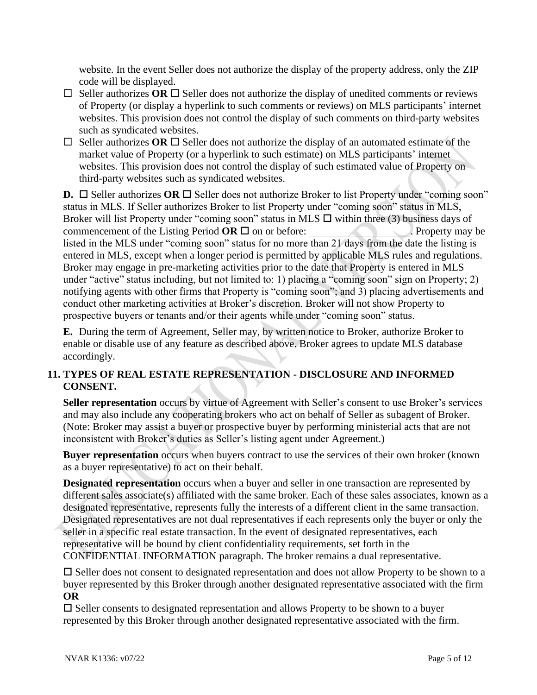website. In the event Seller does not authorize the display of the property address, only the ZIP code will be displayed.

- $\Box$  Seller authorizes OR  $\Box$  Seller does not authorize the display of unedited comments or reviews of Property (or display a hyperlink to such comments or reviews) on MLS participants' internet websites. This provision does not control the display of such comments on third-party websites such as syndicated websites.
- $\Box$  Seller authorizes **OR**  $\Box$  Seller does not authorize the display of an automated estimate of the market value of Property (or a hyperlink to such estimate) on MLS participants' internet websites. This provision does not control the display of such estimated value of Property on third-party websites such as syndicated websites.

**D.**  $\Box$  Seller authorizes **OR**  $\Box$  Seller does not authorize Broker to list Property under "coming soon" status in MLS. If Seller authorizes Broker to list Property under "coming soon" status in MLS, Broker will list Property under "coming soon" status in MLS  $\Box$  within three (3) business days of commencement of the Listing Period  $OR \Box$  on or before: . Property may be listed in the MLS under "coming soon" status for no more than 21 days from the date the listing is entered in MLS, except when a longer period is permitted by applicable MLS rules and regulations. Broker may engage in pre-marketing activities prior to the date that Property is entered in MLS under "active" status including, but not limited to: 1) placing a "coming soon" sign on Property; 2) notifying agents with other firms that Property is "coming soon"; and 3) placing advertisements and conduct other marketing activities at Broker's discretion. Broker will not show Property to prospective buyers or tenants and/or their agents while under "coming soon" status.

**E.** During the term of Agreement, Seller may, by written notice to Broker, authorize Broker to enable or disable use of any feature as described above. Broker agrees to update MLS database accordingly.

## **11. TYPES OF REAL ESTATE REPRESENTATION - DISCLOSURE AND INFORMED CONSENT.**

**Seller representation** occurs by virtue of Agreement with Seller's consent to use Broker's services and may also include any cooperating brokers who act on behalf of Seller as subagent of Broker. (Note: Broker may assist a buyer or prospective buyer by performing ministerial acts that are not inconsistent with Broker's duties as Seller's listing agent under Agreement.)

**Buyer representation** occurs when buyers contract to use the services of their own broker (known as a buyer representative) to act on their behalf.

**Designated representation** occurs when a buyer and seller in one transaction are represented by different sales associate(s) affiliated with the same broker. Each of these sales associates, known as a designated representative, represents fully the interests of a different client in the same transaction. Designated representatives are not dual representatives if each represents only the buyer or only the seller in a specific real estate transaction. In the event of designated representatives, each representative will be bound by client confidentiality requirements, set forth in the CONFIDENTIAL INFORMATION paragraph. The broker remains a dual representative.

 $\square$  Seller does not consent to designated representation and does not allow Property to be shown to a buyer represented by this Broker through another designated representative associated with the firm **OR**

 $\square$  Seller consents to designated representation and allows Property to be shown to a buyer represented by this Broker through another designated representative associated with the firm.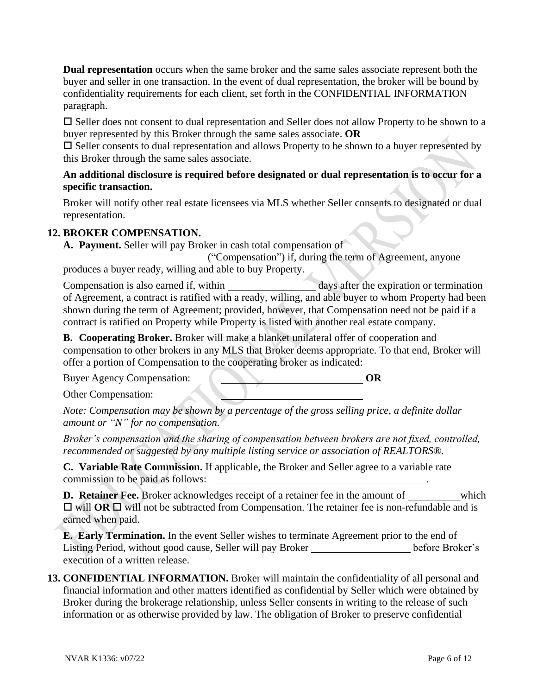**Dual representation** occurs when the same broker and the same sales associate represent both the buyer and seller in one transaction. In the event of dual representation, the broker will be bound by confidentiality requirements for each client, set forth in the CONFIDENTIAL INFORMATION paragraph.

 $\square$  Seller does not consent to dual representation and Seller does not allow Property to be shown to a buyer represented by this Broker through the same sales associate. **OR**

 $\square$  Seller consents to dual representation and allows Property to be shown to a buyer represented by this Broker through the same sales associate.

### **An additional disclosure is required before designated or dual representation is to occur for a specific transaction.**

Broker will notify other real estate licensees via MLS whether Seller consents to designated or dual representation.

## **12. BROKER COMPENSATION.**

**A. Payment.** Seller will pay Broker in cash total compensation of

("Compensation") if, during the term of Agreement, anyone produces a buyer ready, willing and able to buy Property.

Compensation is also earned if, within days after the expiration or termination of Agreement, a contract is ratified with a ready, willing, and able buyer to whom Property had been shown during the term of Agreement; provided, however, that Compensation need not be paid if a contract is ratified on Property while Property is listed with another real estate company.

**B. Cooperating Broker.** Broker will make a blanket unilateral offer of cooperation and compensation to other brokers in any MLS that Broker deems appropriate. To that end, Broker will offer a portion of Compensation to the cooperating broker as indicated:

Buyer Agency Compensation: **OR** 

Other Compensation:

*Note: Compensation may be shown by a percentage of the gross selling price, a definite dollar amount or "N" for no compensation.*

*Broker's compensation and the sharing of compensation between brokers are not fixed, controlled, recommended or suggested by any multiple listing service or association of REALTORS®.*

**C. Variable Rate Commission.** If applicable, the Broker and Seller agree to a variable rate commission to be paid as follows: .

**D. Retainer Fee.** Broker acknowledges receipt of a retainer fee in the amount of which  $\Box$  will **OR**  $\Box$  will not be subtracted from Compensation. The retainer fee is non-refundable and is earned when paid.

**E. Early Termination.** In the event Seller wishes to terminate Agreement prior to the end of Listing Period, without good cause, Seller will pay Broker before Broker's execution of a written release.

**13. CONFIDENTIAL INFORMATION.** Broker will maintain the confidentiality of all personal and financial information and other matters identified as confidential by Seller which were obtained by Broker during the brokerage relationship, unless Seller consents in writing to the release of such information or as otherwise provided by law. The obligation of Broker to preserve confidential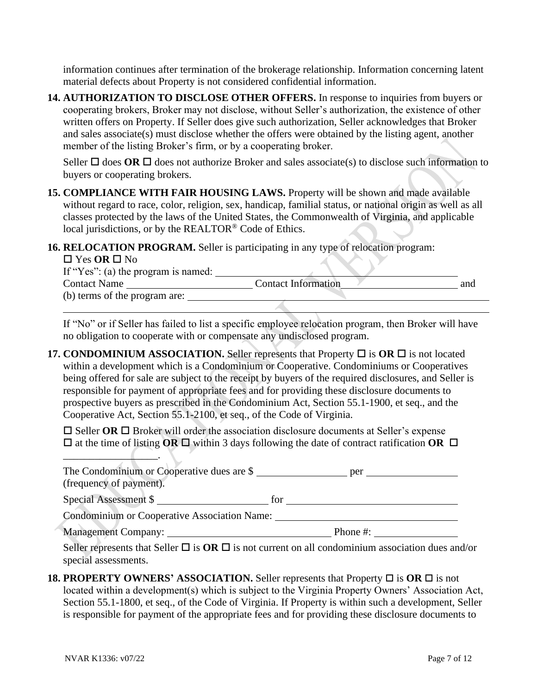information continues after termination of the brokerage relationship. Information concerning latent material defects about Property is not considered confidential information.

**14. AUTHORIZATION TO DISCLOSE OTHER OFFERS.** In response to inquiries from buyers or cooperating brokers, Broker may not disclose, without Seller's authorization, the existence of other written offers on Property. If Seller does give such authorization, Seller acknowledges that Broker and sales associate(s) must disclose whether the offers were obtained by the listing agent, another member of the listing Broker's firm, or by a cooperating broker.

Seller  $\Box$  does **OR**  $\Box$  does not authorize Broker and sales associate(s) to disclose such information to buyers or cooperating brokers.

- **15. COMPLIANCE WITH FAIR HOUSING LAWS.** Property will be shown and made available without regard to race, color, religion, sex, handicap, familial status, or national origin as well as all classes protected by the laws of the United States, the Commonwealth of Virginia, and applicable local jurisdictions, or by the REALTOR® Code of Ethics.
- **16. RELOCATION PROGRAM.** Seller is participating in any type of relocation program:

| $\Box$ Yes OR $\Box$ No             |                            |     |
|-------------------------------------|----------------------------|-----|
| If "Yes": (a) the program is named: |                            |     |
| <b>Contact Name</b>                 | <b>Contact Information</b> | and |
| (b) terms of the program are:       |                            |     |

If "No" or if Seller has failed to list a specific employee relocation program, then Broker will have no obligation to cooperate with or compensate any undisclosed program.

**17. CONDOMINIUM ASSOCIATION.** Seller represents that Property  $\Box$  is  $OR \Box$  is not located within a development which is a Condominium or Cooperative. Condominiums or Cooperatives being offered for sale are subject to the receipt by buyers of the required disclosures, and Seller is responsible for payment of appropriate fees and for providing these disclosure documents to prospective buyers as prescribed in the Condominium Act, Section 55.1-1900, et seq., and the Cooperative Act, Section 55.1-2100, et seq., of the Code of Virginia.

 $\Box$  Seller **OR**  $\Box$  Broker will order the association disclosure documents at Seller's expense  $\Box$  at the time of listing **OR**  $\Box$  within 3 days following the date of contract ratification **OR**  $\Box$ 

| The Condominium or Cooperative dues are \$   | per      |
|----------------------------------------------|----------|
| (frequency of payment).                      |          |
| Special Assessment \$                        | tor      |
| Condominium or Cooperative Association Name: |          |
| Management Company:                          | Phone #: |

Seller represents that Seller  $\Box$  is  $OR \Box$  is not current on all condominium association dues and/or special assessments.

**18. PROPERTY OWNERS' ASSOCIATION.** Seller represents that Property  $\Box$  is  $\overline{OR} \Box$  is not located within a development(s) which is subject to the Virginia Property Owners' Association Act, Section 55.1-1800, et seq., of the Code of Virginia. If Property is within such a development, Seller is responsible for payment of the appropriate fees and for providing these disclosure documents to

\_\_\_\_\_\_\_\_\_\_\_\_\_\_\_\_\_\_.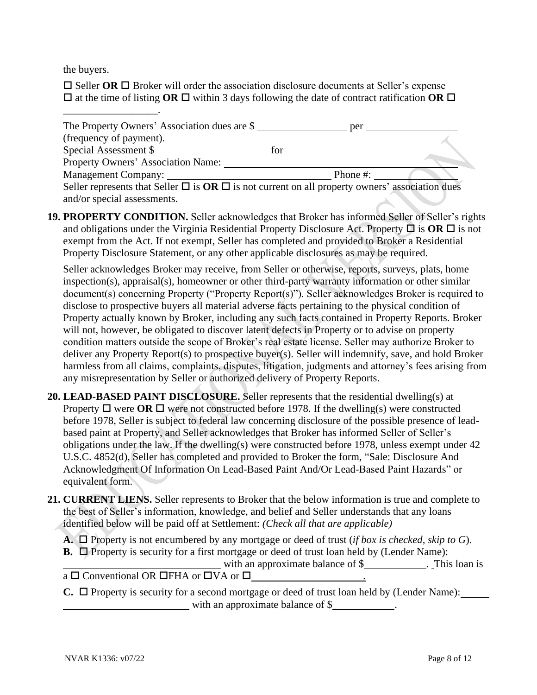the buyers.

\_\_\_\_\_\_\_\_\_\_\_\_\_\_\_\_\_\_.

 $\Box$  Seller **OR**  $\Box$  Broker will order the association disclosure documents at Seller's expense  $\Box$  at the time of listing **OR**  $\Box$  within 3 days following the date of contract ratification **OR**  $\Box$ 

| The Property Owners' Association dues are \$                                                              | per      |  |
|-----------------------------------------------------------------------------------------------------------|----------|--|
| (frequency of payment).                                                                                   |          |  |
| Special Assessment \$                                                                                     | for      |  |
| Property Owners' Association Name:                                                                        |          |  |
|                                                                                                           | Phone #: |  |
| Seller represents that Seller $\Box$ is $OR \Box$ is not current on all property owners' association dues |          |  |
| and/or special assessments.                                                                               |          |  |

**19. PROPERTY CONDITION.** Seller acknowledges that Broker has informed Seller of Seller's rights and obligations under the Virginia Residential Property Disclosure Act. Property  $\Box$  is OR  $\Box$  is not exempt from the Act. If not exempt, Seller has completed and provided to Broker a Residential Property Disclosure Statement, or any other applicable disclosures as may be required.

Seller acknowledges Broker may receive, from Seller or otherwise, reports, surveys, plats, home inspection(s), appraisal(s), homeowner or other third-party warranty information or other similar document(s) concerning Property ("Property Report(s)"). Seller acknowledges Broker is required to disclose to prospective buyers all material adverse facts pertaining to the physical condition of Property actually known by Broker, including any such facts contained in Property Reports. Broker will not, however, be obligated to discover latent defects in Property or to advise on property condition matters outside the scope of Broker's real estate license. Seller may authorize Broker to deliver any Property Report(s) to prospective buyer(s). Seller will indemnify, save, and hold Broker harmless from all claims, complaints, disputes, litigation, judgments and attorney's fees arising from any misrepresentation by Seller or authorized delivery of Property Reports.

- **20. LEAD-BASED PAINT DISCLOSURE.** Seller represents that the residential dwelling(s) at Property  $\Box$  were  $\Box$  were not constructed before 1978. If the dwelling(s) were constructed before 1978, Seller is subject to federal law concerning disclosure of the possible presence of leadbased paint at Property, and Seller acknowledges that Broker has informed Seller of Seller's obligations under the law. If the dwelling(s) were constructed before 1978, unless exempt under 42 U.S.C. 4852(d), Seller has completed and provided to Broker the form, "Sale: Disclosure And Acknowledgment Of Information On Lead-Based Paint And/Or Lead-Based Paint Hazards" or equivalent form.
- **21. CURRENT LIENS.** Seller represents to Broker that the below information is true and complete to the best of Seller's information, knowledge, and belief and Seller understands that any loans identified below will be paid off at Settlement: *(Check all that are applicable)*
	- **A.**  $\Box$  Property is not encumbered by any mortgage or deed of trust (*if box is checked, skip to G*).
	- **B.**  $\Box$  Property is security for a first mortgage or deed of trust loan held by (Lender Name):
	- with an approximate balance of \$ . This loan is  $a \Box$  Conventional OR  $\Box$  FHA or  $\Box$  VA or  $\Box$
	- $\mathbf{C}$ .  $\Box$  Property is security for a second mortgage or deed of trust loan held by (Lender Name): with an approximate balance of \$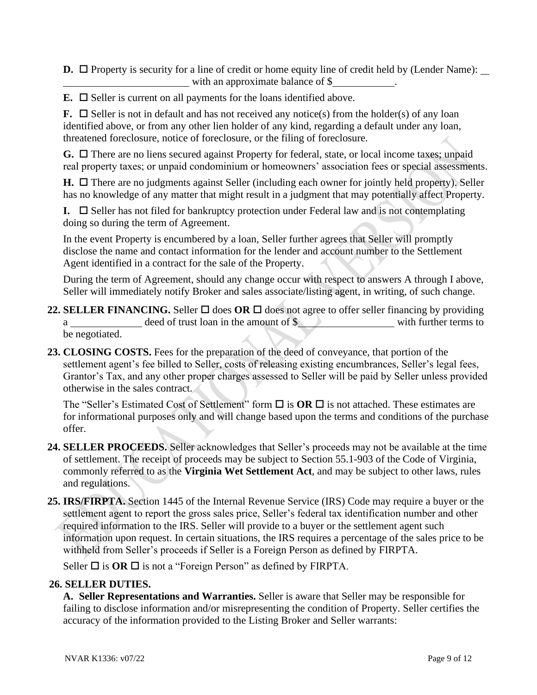**D.**  $\Box$  Property is security for a line of credit or home equity line of credit held by (Lender Name):  $\Box$ with an approximate balance of \$

 $\mathbf{E}$ .  $\Box$  Seller is current on all payments for the loans identified above.

**F.**  $\Box$  Seller is not in default and has not received any notice(s) from the holder(s) of any loan identified above, or from any other lien holder of any kind, regarding a default under any loan, threatened foreclosure, notice of foreclosure, or the filing of foreclosure.

G. □ There are no liens secured against Property for federal, state, or local income taxes; unpaid real property taxes; or unpaid condominium or homeowners' association fees or special assessments.

 $H. \Box$  There are no judgments against Seller (including each owner for jointly held property). Seller has no knowledge of any matter that might result in a judgment that may potentially affect Property.

**I.**  $\Box$  Seller has not filed for bankruptcy protection under Federal law and is not contemplating doing so during the term of Agreement.

In the event Property is encumbered by a loan, Seller further agrees that Seller will promptly disclose the name and contact information for the lender and account number to the Settlement Agent identified in a contract for the sale of the Property.

During the term of Agreement, should any change occur with respect to answers A through I above, Seller will immediately notify Broker and sales associate/listing agent, in writing, of such change.

- **22. SELLER FINANCING.** Seller  $\Box$  does OR  $\Box$  does not agree to offer seller financing by providing a deed of trust loan in the amount of \$ with further terms to be negotiated.
- **23. CLOSING COSTS.** Fees for the preparation of the deed of conveyance, that portion of the settlement agent's fee billed to Seller, costs of releasing existing encumbrances, Seller's legal fees, Grantor's Tax, and any other proper charges assessed to Seller will be paid by Seller unless provided otherwise in the sales contract.

The "Seller's Estimated Cost of Settlement" form  $\Box$  is  $OR \Box$  is not attached. These estimates are for informational purposes only and will change based upon the terms and conditions of the purchase offer.

- **24. SELLER PROCEEDS.** Seller acknowledges that Seller's proceeds may not be available at the time of settlement. The receipt of proceeds may be subject to Section 55.1-903 of the Code of Virginia, commonly referred to as the **Virginia Wet Settlement Act**, and may be subject to other laws, rules and regulations.
- **25. IRS/FIRPTA.** Section 1445 of the Internal Revenue Service (IRS) Code may require a buyer or the settlement agent to report the gross sales price, Seller's federal tax identification number and other required information to the IRS. Seller will provide to a buyer or the settlement agent such information upon request. In certain situations, the IRS requires a percentage of the sales price to be withheld from Seller's proceeds if Seller is a Foreign Person as defined by FIRPTA.

Seller  $\Box$  is **OR**  $\Box$  is not a "Foreign Person" as defined by FIRPTA.

### **26. SELLER DUTIES.**

**A. Seller Representations and Warranties.** Seller is aware that Seller may be responsible for failing to disclose information and/or misrepresenting the condition of Property. Seller certifies the accuracy of the information provided to the Listing Broker and Seller warrants: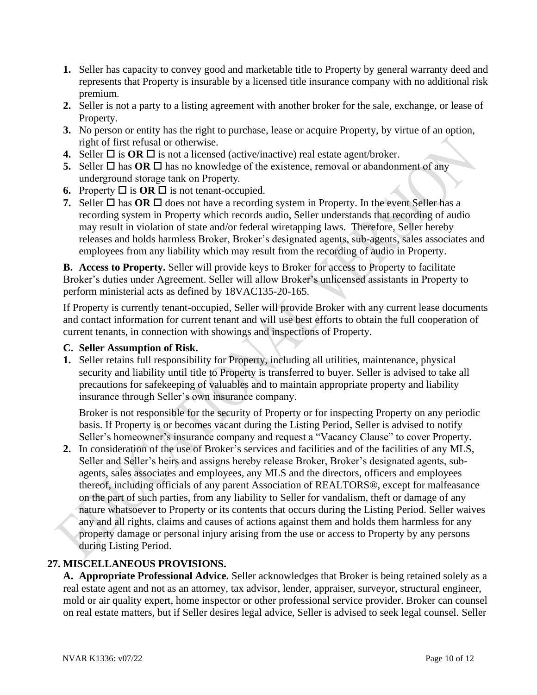- **1.** Seller has capacity to convey good and marketable title to Property by general warranty deed and represents that Property is insurable by a licensed title insurance company with no additional risk premium.
- **2.** Seller is not a party to a listing agreement with another broker for the sale, exchange, or lease of Property.
- **3.** No person or entity has the right to purchase, lease or acquire Property, by virtue of an option, right of first refusal or otherwise.
- **4.** Seller  $\Box$  is **OR**  $\Box$  is not a licensed (active/inactive) real estate agent/broker.
- **5.** Seller  $\Box$  has **OR**  $\Box$  has no knowledge of the existence, removal or abandonment of any underground storage tank on Property.
- **6.** Property  $\Box$  is  $\overline{OR}$   $\Box$  is not tenant-occupied.
- **7.** Seller  $\Box$  has  $\overline{OR}$   $\Box$  does not have a recording system in Property. In the event Seller has a recording system in Property which records audio, Seller understands that recording of audio may result in violation of state and/or federal wiretapping laws. Therefore, Seller hereby releases and holds harmless Broker, Broker's designated agents, sub-agents, sales associates and employees from any liability which may result from the recording of audio in Property.

**B. Access to Property.** Seller will provide keys to Broker for access to Property to facilitate Broker's duties under Agreement. Seller will allow Broker's unlicensed assistants in Property to perform ministerial acts as defined by 18VAC135-20-165.

If Property is currently tenant-occupied, Seller will provide Broker with any current lease documents and contact information for current tenant and will use best efforts to obtain the full cooperation of current tenants, in connection with showings and inspections of Property.

#### **C. Seller Assumption of Risk.**

**1.** Seller retains full responsibility for Property, including all utilities, maintenance, physical security and liability until title to Property is transferred to buyer. Seller is advised to take all precautions for safekeeping of valuables and to maintain appropriate property and liability insurance through Seller's own insurance company.

Broker is not responsible for the security of Property or for inspecting Property on any periodic basis. If Property is or becomes vacant during the Listing Period, Seller is advised to notify Seller's homeowner's insurance company and request a "Vacancy Clause" to cover Property.

**2.** In consideration of the use of Broker's services and facilities and of the facilities of any MLS, Seller and Seller's heirs and assigns hereby release Broker, Broker's designated agents, subagents, sales associates and employees, any MLS and the directors, officers and employees thereof, including officials of any parent Association of REALTORS®, except for malfeasance on the part of such parties, from any liability to Seller for vandalism, theft or damage of any nature whatsoever to Property or its contents that occurs during the Listing Period. Seller waives any and all rights, claims and causes of actions against them and holds them harmless for any property damage or personal injury arising from the use or access to Property by any persons during Listing Period.

#### **27. MISCELLANEOUS PROVISIONS.**

**A. Appropriate Professional Advice.** Seller acknowledges that Broker is being retained solely as a real estate agent and not as an attorney, tax advisor, lender, appraiser, surveyor, structural engineer, mold or air quality expert, home inspector or other professional service provider. Broker can counsel on real estate matters, but if Seller desires legal advice, Seller is advised to seek legal counsel. Seller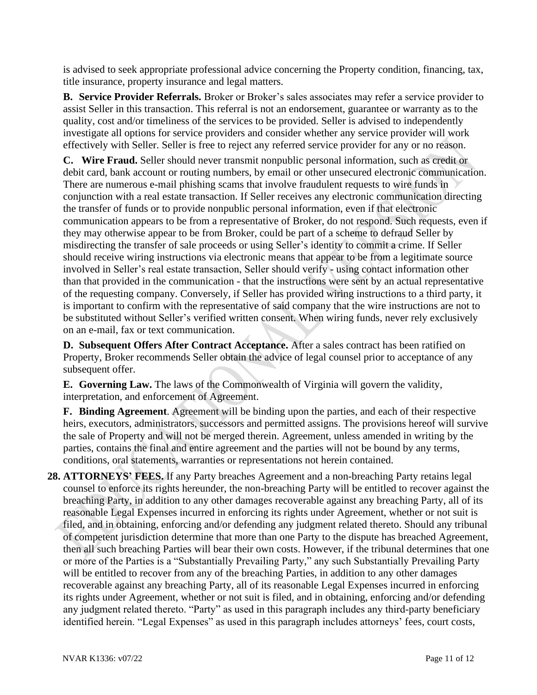is advised to seek appropriate professional advice concerning the Property condition, financing, tax, title insurance, property insurance and legal matters.

**B. Service Provider Referrals.** Broker or Broker's sales associates may refer a service provider to assist Seller in this transaction. This referral is not an endorsement, guarantee or warranty as to the quality, cost and/or timeliness of the services to be provided. Seller is advised to independently investigate all options for service providers and consider whether any service provider will work effectively with Seller. Seller is free to reject any referred service provider for any or no reason.

**C. Wire Fraud.** Seller should never transmit nonpublic personal information, such as credit or debit card, bank account or routing numbers, by email or other unsecured electronic communication. There are numerous e-mail phishing scams that involve fraudulent requests to wire funds in conjunction with a real estate transaction. If Seller receives any electronic communication directing the transfer of funds or to provide nonpublic personal information, even if that electronic communication appears to be from a representative of Broker, do not respond. Such requests, even if they may otherwise appear to be from Broker, could be part of a scheme to defraud Seller by misdirecting the transfer of sale proceeds or using Seller's identity to commit a crime. If Seller should receive wiring instructions via electronic means that appear to be from a legitimate source involved in Seller's real estate transaction, Seller should verify - using contact information other than that provided in the communication - that the instructions were sent by an actual representative of the requesting company. Conversely, if Seller has provided wiring instructions to a third party, it is important to confirm with the representative of said company that the wire instructions are not to be substituted without Seller's verified written consent. When wiring funds, never rely exclusively on an e-mail, fax or text communication.

**D. Subsequent Offers After Contract Acceptance.** After a sales contract has been ratified on Property, Broker recommends Seller obtain the advice of legal counsel prior to acceptance of any subsequent offer.

**E. Governing Law.** The laws of the Commonwealth of Virginia will govern the validity, interpretation, and enforcement of Agreement.

**F. Binding Agreement**. Agreement will be binding upon the parties, and each of their respective heirs, executors, administrators, successors and permitted assigns. The provisions hereof will survive the sale of Property and will not be merged therein. Agreement, unless amended in writing by the parties, contains the final and entire agreement and the parties will not be bound by any terms, conditions, oral statements, warranties or representations not herein contained.

**28. ATTORNEYS' FEES.** If any Party breaches Agreement and a non-breaching Party retains legal counsel to enforce its rights hereunder, the non-breaching Party will be entitled to recover against the breaching Party, in addition to any other damages recoverable against any breaching Party, all of its reasonable Legal Expenses incurred in enforcing its rights under Agreement, whether or not suit is filed, and in obtaining, enforcing and/or defending any judgment related thereto. Should any tribunal of competent jurisdiction determine that more than one Party to the dispute has breached Agreement, then all such breaching Parties will bear their own costs. However, if the tribunal determines that one or more of the Parties is a "Substantially Prevailing Party," any such Substantially Prevailing Party will be entitled to recover from any of the breaching Parties, in addition to any other damages recoverable against any breaching Party, all of its reasonable Legal Expenses incurred in enforcing its rights under Agreement, whether or not suit is filed, and in obtaining, enforcing and/or defending any judgment related thereto. "Party" as used in this paragraph includes any third-party beneficiary identified herein. "Legal Expenses" as used in this paragraph includes attorneys' fees, court costs,